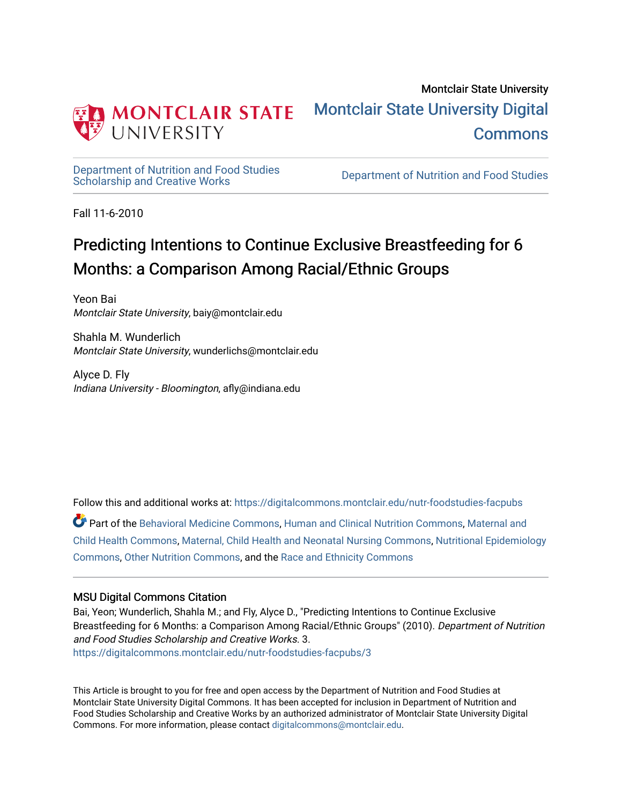

# Montclair State University [Montclair State University Digital](https://digitalcommons.montclair.edu/)  [Commons](https://digitalcommons.montclair.edu/)

[Department of Nutrition and Food Studies](https://digitalcommons.montclair.edu/nutr-foodstudies-facpubs) 

Department of Nutrition and Food Studies

Fall 11-6-2010

# Predicting Intentions to Continue Exclusive Breastfeeding for 6 Months: a Comparison Among Racial/Ethnic Groups

Yeon Bai Montclair State University, baiy@montclair.edu

Shahla M. Wunderlich Montclair State University, wunderlichs@montclair.edu

Alyce D. Fly Indiana University - Bloomington, afly@indiana.edu

Follow this and additional works at: [https://digitalcommons.montclair.edu/nutr-foodstudies-facpubs](https://digitalcommons.montclair.edu/nutr-foodstudies-facpubs?utm_source=digitalcommons.montclair.edu%2Fnutr-foodstudies-facpubs%2F3&utm_medium=PDF&utm_campaign=PDFCoverPages) 

Part of the [Behavioral Medicine Commons](http://network.bepress.com/hgg/discipline/1405?utm_source=digitalcommons.montclair.edu%2Fnutr-foodstudies-facpubs%2F3&utm_medium=PDF&utm_campaign=PDFCoverPages), [Human and Clinical Nutrition Commons,](http://network.bepress.com/hgg/discipline/97?utm_source=digitalcommons.montclair.edu%2Fnutr-foodstudies-facpubs%2F3&utm_medium=PDF&utm_campaign=PDFCoverPages) [Maternal and](http://network.bepress.com/hgg/discipline/745?utm_source=digitalcommons.montclair.edu%2Fnutr-foodstudies-facpubs%2F3&utm_medium=PDF&utm_campaign=PDFCoverPages)  [Child Health Commons,](http://network.bepress.com/hgg/discipline/745?utm_source=digitalcommons.montclair.edu%2Fnutr-foodstudies-facpubs%2F3&utm_medium=PDF&utm_campaign=PDFCoverPages) [Maternal, Child Health and Neonatal Nursing Commons,](http://network.bepress.com/hgg/discipline/721?utm_source=digitalcommons.montclair.edu%2Fnutr-foodstudies-facpubs%2F3&utm_medium=PDF&utm_campaign=PDFCoverPages) [Nutritional Epidemiology](http://network.bepress.com/hgg/discipline/100?utm_source=digitalcommons.montclair.edu%2Fnutr-foodstudies-facpubs%2F3&utm_medium=PDF&utm_campaign=PDFCoverPages)  [Commons](http://network.bepress.com/hgg/discipline/100?utm_source=digitalcommons.montclair.edu%2Fnutr-foodstudies-facpubs%2F3&utm_medium=PDF&utm_campaign=PDFCoverPages), [Other Nutrition Commons,](http://network.bepress.com/hgg/discipline/101?utm_source=digitalcommons.montclair.edu%2Fnutr-foodstudies-facpubs%2F3&utm_medium=PDF&utm_campaign=PDFCoverPages) and the [Race and Ethnicity Commons](http://network.bepress.com/hgg/discipline/426?utm_source=digitalcommons.montclair.edu%2Fnutr-foodstudies-facpubs%2F3&utm_medium=PDF&utm_campaign=PDFCoverPages) 

# MSU Digital Commons Citation

Bai, Yeon; Wunderlich, Shahla M.; and Fly, Alyce D., "Predicting Intentions to Continue Exclusive Breastfeeding for 6 Months: a Comparison Among Racial/Ethnic Groups" (2010). Department of Nutrition and Food Studies Scholarship and Creative Works. 3. [https://digitalcommons.montclair.edu/nutr-foodstudies-facpubs/3](https://digitalcommons.montclair.edu/nutr-foodstudies-facpubs/3?utm_source=digitalcommons.montclair.edu%2Fnutr-foodstudies-facpubs%2F3&utm_medium=PDF&utm_campaign=PDFCoverPages) 

This Article is brought to you for free and open access by the Department of Nutrition and Food Studies at Montclair State University Digital Commons. It has been accepted for inclusion in Department of Nutrition and Food Studies Scholarship and Creative Works by an authorized administrator of Montclair State University Digital Commons. For more information, please contact [digitalcommons@montclair.edu](mailto:digitalcommons@montclair.edu).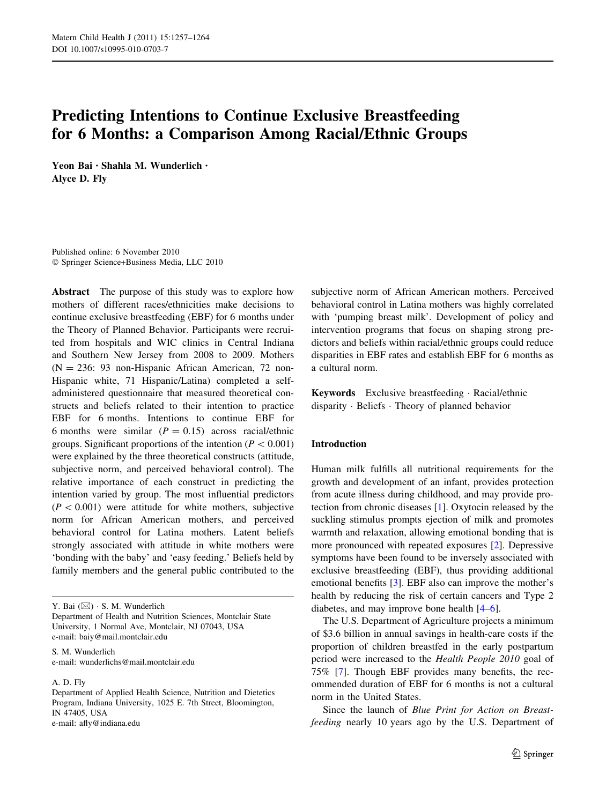# Predicting Intentions to Continue Exclusive Breastfeeding for 6 Months: a Comparison Among Racial/Ethnic Groups

Yeon Bai • Shahla M. Wunderlich • Alyce D. Fly

Published online: 6 November 2010 - Springer Science+Business Media, LLC 2010

Abstract The purpose of this study was to explore how mothers of different races/ethnicities make decisions to continue exclusive breastfeeding (EBF) for 6 months under the Theory of Planned Behavior. Participants were recruited from hospitals and WIC clinics in Central Indiana and Southern New Jersey from 2008 to 2009. Mothers  $(N = 236: 93$  non-Hispanic African American, 72 non-Hispanic white, 71 Hispanic/Latina) completed a selfadministered questionnaire that measured theoretical constructs and beliefs related to their intention to practice EBF for 6 months. Intentions to continue EBF for 6 months were similar  $(P = 0.15)$  across racial/ethnic groups. Significant proportions of the intention ( $P < 0.001$ ) were explained by the three theoretical constructs (attitude, subjective norm, and perceived behavioral control). The relative importance of each construct in predicting the intention varied by group. The most influential predictors  $(P < 0.001)$  were attitude for white mothers, subjective norm for African American mothers, and perceived behavioral control for Latina mothers. Latent beliefs strongly associated with attitude in white mothers were 'bonding with the baby' and 'easy feeding.' Beliefs held by family members and the general public contributed to the

Y. Bai  $(\boxtimes) \cdot$  S. M. Wunderlich

Department of Health and Nutrition Sciences, Montclair State University, 1 Normal Ave, Montclair, NJ 07043, USA e-mail: baiy@mail.montclair.edu

S. M. Wunderlich e-mail: wunderlichs@mail.montclair.edu

A. D. Fly

Department of Applied Health Science, Nutrition and Dietetics Program, Indiana University, 1025 E. 7th Street, Bloomington, IN 47405, USA e-mail: afly@indiana.edu

subjective norm of African American mothers. Perceived behavioral control in Latina mothers was highly correlated with 'pumping breast milk'. Development of policy and intervention programs that focus on shaping strong predictors and beliefs within racial/ethnic groups could reduce disparities in EBF rates and establish EBF for 6 months as a cultural norm.

Keywords Exclusive breastfeeding - Racial/ethnic disparity - Beliefs - Theory of planned behavior

## Introduction

Human milk fulfills all nutritional requirements for the growth and development of an infant, provides protection from acute illness during childhood, and may provide protection from chronic diseases [\[1](#page-7-0)]. Oxytocin released by the suckling stimulus prompts ejection of milk and promotes warmth and relaxation, allowing emotional bonding that is more pronounced with repeated exposures [[2\]](#page-7-0). Depressive symptoms have been found to be inversely associated with exclusive breastfeeding (EBF), thus providing additional emotional benefits [\[3](#page-7-0)]. EBF also can improve the mother's health by reducing the risk of certain cancers and Type 2 diabetes, and may improve bone health [[4–6\]](#page-7-0).

The U.S. Department of Agriculture projects a minimum of \$3.6 billion in annual savings in health-care costs if the proportion of children breastfed in the early postpartum period were increased to the Health People 2010 goal of 75% [[7\]](#page-7-0). Though EBF provides many benefits, the recommended duration of EBF for 6 months is not a cultural norm in the United States.

Since the launch of Blue Print for Action on Breastfeeding nearly 10 years ago by the U.S. Department of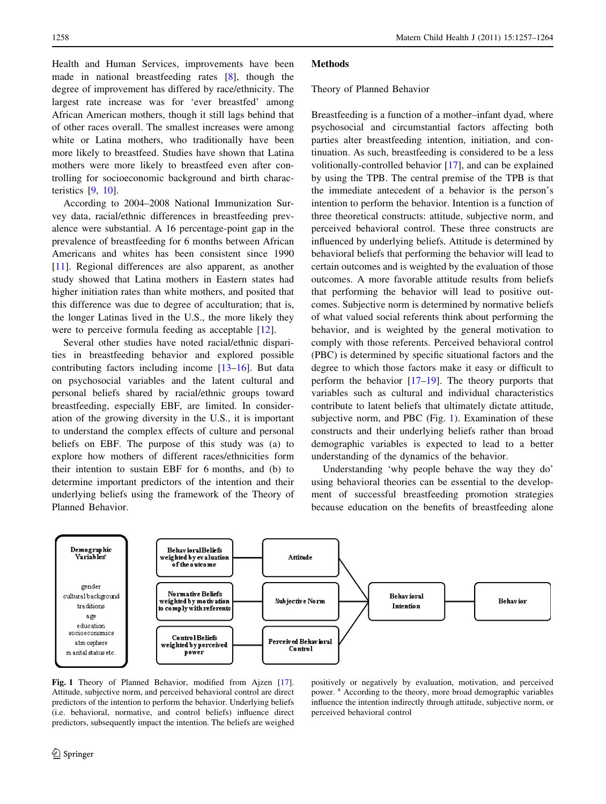<span id="page-2-0"></span>Health and Human Services, improvements have been made in national breastfeeding rates [\[8](#page-7-0)], though the degree of improvement has differed by race/ethnicity. The largest rate increase was for 'ever breastfed' among African American mothers, though it still lags behind that of other races overall. The smallest increases were among white or Latina mothers, who traditionally have been more likely to breastfeed. Studies have shown that Latina mothers were more likely to breastfeed even after controlling for socioeconomic background and birth characteristics [[9,](#page-8-0) [10](#page-8-0)].

According to 2004–2008 National Immunization Survey data, racial/ethnic differences in breastfeeding prevalence were substantial. A 16 percentage-point gap in the prevalence of breastfeeding for 6 months between African Americans and whites has been consistent since 1990 [\[11](#page-8-0)]. Regional differences are also apparent, as another study showed that Latina mothers in Eastern states had higher initiation rates than white mothers, and posited that this difference was due to degree of acculturation; that is, the longer Latinas lived in the U.S., the more likely they were to perceive formula feeding as acceptable [[12](#page-8-0)].

Several other studies have noted racial/ethnic disparities in breastfeeding behavior and explored possible contributing factors including income [\[13–16](#page-8-0)]. But data on psychosocial variables and the latent cultural and personal beliefs shared by racial/ethnic groups toward breastfeeding, especially EBF, are limited. In consideration of the growing diversity in the U.S., it is important to understand the complex effects of culture and personal beliefs on EBF. The purpose of this study was (a) to explore how mothers of different races/ethnicities form their intention to sustain EBF for 6 months, and (b) to determine important predictors of the intention and their underlying beliefs using the framework of the Theory of Planned Behavior.

#### **Methods**

#### Theory of Planned Behavior

Breastfeeding is a function of a mother–infant dyad, where psychosocial and circumstantial factors affecting both parties alter breastfeeding intention, initiation, and continuation. As such, breastfeeding is considered to be a less volitionally-controlled behavior [\[17](#page-8-0)], and can be explained by using the TPB. The central premise of the TPB is that the immediate antecedent of a behavior is the person's intention to perform the behavior. Intention is a function of three theoretical constructs: attitude, subjective norm, and perceived behavioral control. These three constructs are influenced by underlying beliefs. Attitude is determined by behavioral beliefs that performing the behavior will lead to certain outcomes and is weighted by the evaluation of those outcomes. A more favorable attitude results from beliefs that performing the behavior will lead to positive outcomes. Subjective norm is determined by normative beliefs of what valued social referents think about performing the behavior, and is weighted by the general motivation to comply with those referents. Perceived behavioral control (PBC) is determined by specific situational factors and the degree to which those factors make it easy or difficult to perform the behavior [[17–19\]](#page-8-0). The theory purports that variables such as cultural and individual characteristics contribute to latent beliefs that ultimately dictate attitude, subjective norm, and PBC (Fig. 1). Examination of these constructs and their underlying beliefs rather than broad demographic variables is expected to lead to a better understanding of the dynamics of the behavior.

Understanding 'why people behave the way they do' using behavioral theories can be essential to the development of successful breastfeeding promotion strategies because education on the benefits of breastfeeding alone



Fig. 1 Theory of Planned Behavior, modified from Ajzen [[17](#page-8-0)]. Attitude, subjective norm, and perceived behavioral control are direct predictors of the intention to perform the behavior. Underlying beliefs (i.e. behavioral, normative, and control beliefs) influence direct predictors, subsequently impact the intention. The beliefs are weighed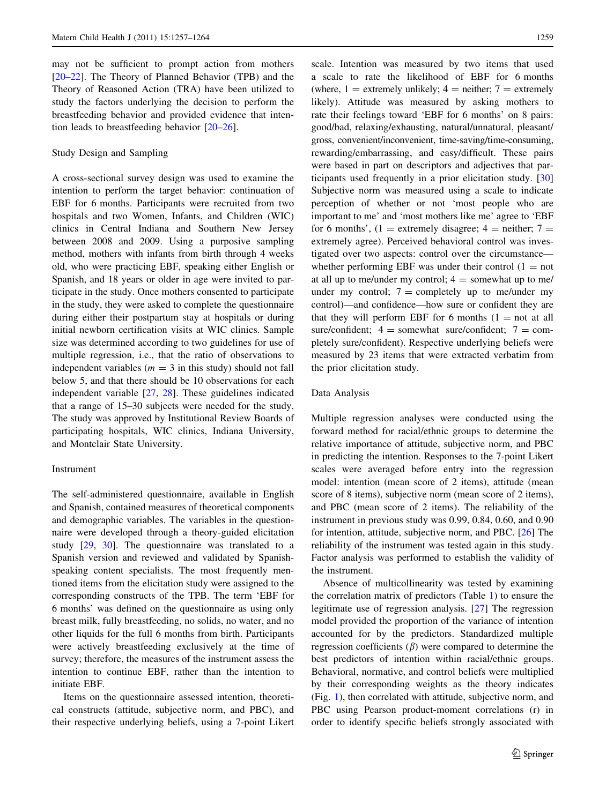may not be sufficient to prompt action from mothers [\[20–22](#page-8-0)]. The Theory of Planned Behavior (TPB) and the Theory of Reasoned Action (TRA) have been utilized to study the factors underlying the decision to perform the breastfeeding behavior and provided evidence that intention leads to breastfeeding behavior [[20–26\]](#page-8-0).

## Study Design and Sampling

A cross-sectional survey design was used to examine the intention to perform the target behavior: continuation of EBF for 6 months. Participants were recruited from two hospitals and two Women, Infants, and Children (WIC) clinics in Central Indiana and Southern New Jersey between 2008 and 2009. Using a purposive sampling method, mothers with infants from birth through 4 weeks old, who were practicing EBF, speaking either English or Spanish, and 18 years or older in age were invited to participate in the study. Once mothers consented to participate in the study, they were asked to complete the questionnaire during either their postpartum stay at hospitals or during initial newborn certification visits at WIC clinics. Sample size was determined according to two guidelines for use of multiple regression, i.e., that the ratio of observations to independent variables ( $m = 3$  in this study) should not fall below 5, and that there should be 10 observations for each independent variable [\[27](#page-8-0), [28\]](#page-8-0). These guidelines indicated that a range of 15–30 subjects were needed for the study. The study was approved by Institutional Review Boards of participating hospitals, WIC clinics, Indiana University, and Montclair State University.

#### Instrument

The self-administered questionnaire, available in English and Spanish, contained measures of theoretical components and demographic variables. The variables in the questionnaire were developed through a theory-guided elicitation study [\[29](#page-8-0), [30\]](#page-8-0). The questionnaire was translated to a Spanish version and reviewed and validated by Spanishspeaking content specialists. The most frequently mentioned items from the elicitation study were assigned to the corresponding constructs of the TPB. The term 'EBF for 6 months' was defined on the questionnaire as using only breast milk, fully breastfeeding, no solids, no water, and no other liquids for the full 6 months from birth. Participants were actively breastfeeding exclusively at the time of survey; therefore, the measures of the instrument assess the intention to continue EBF, rather than the intention to initiate EBF.

Items on the questionnaire assessed intention, theoretical constructs (attitude, subjective norm, and PBC), and their respective underlying beliefs, using a 7-point Likert scale. Intention was measured by two items that used a scale to rate the likelihood of EBF for 6 months (where,  $1 =$  extremely unlikely;  $4 =$  neither;  $7 =$  extremely likely). Attitude was measured by asking mothers to rate their feelings toward 'EBF for 6 months' on 8 pairs: good/bad, relaxing/exhausting, natural/unnatural, pleasant/ gross, convenient/inconvenient, time-saving/time-consuming, rewarding/embarrassing, and easy/difficult. These pairs were based in part on descriptors and adjectives that participants used frequently in a prior elicitation study. [[30\]](#page-8-0) Subjective norm was measured using a scale to indicate perception of whether or not 'most people who are important to me' and 'most mothers like me' agree to 'EBF for 6 months',  $(1 =$  extremely disagree;  $4 =$  neither;  $7 =$ extremely agree). Perceived behavioral control was investigated over two aspects: control over the circumstance whether performing EBF was under their control  $(1 = not$ at all up to me/under my control;  $4 =$  somewhat up to me/ under my control;  $7 =$  completely up to me/under my control)—and confidence—how sure or confident they are that they will perform EBF for 6 months  $(1 = not at all$ sure/confident;  $4 =$  somewhat sure/confident;  $7 =$  completely sure/confident). Respective underlying beliefs were measured by 23 items that were extracted verbatim from the prior elicitation study.

## Data Analysis

Multiple regression analyses were conducted using the forward method for racial/ethnic groups to determine the relative importance of attitude, subjective norm, and PBC in predicting the intention. Responses to the 7-point Likert scales were averaged before entry into the regression model: intention (mean score of 2 items), attitude (mean score of 8 items), subjective norm (mean score of 2 items), and PBC (mean score of 2 items). The reliability of the instrument in previous study was 0.99, 0.84, 0.60, and 0.90 for intention, attitude, subjective norm, and PBC. [\[26](#page-8-0)] The reliability of the instrument was tested again in this study. Factor analysis was performed to establish the validity of the instrument.

Absence of multicollinearity was tested by examining the correlation matrix of predictors (Table [1\)](#page-4-0) to ensure the legitimate use of regression analysis. [[27\]](#page-8-0) The regression model provided the proportion of the variance of intention accounted for by the predictors. Standardized multiple regression coefficients  $(\beta)$  were compared to determine the best predictors of intention within racial/ethnic groups. Behavioral, normative, and control beliefs were multiplied by their corresponding weights as the theory indicates (Fig. [1\)](#page-2-0), then correlated with attitude, subjective norm, and PBC using Pearson product-moment correlations (r) in order to identify specific beliefs strongly associated with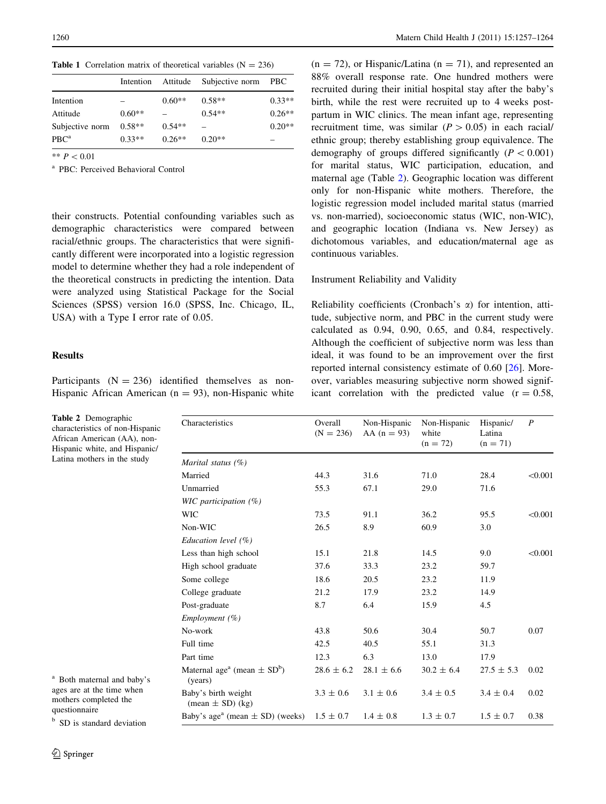**Table 1** Correlation matrix of theoretical variables  $(N = 236)$ 

|                 |          |          | Intention Attitude Subjective norm | PBC      |
|-----------------|----------|----------|------------------------------------|----------|
| Intention       |          | $0.60**$ | $0.58**$                           | $0.33**$ |
| Attitude        | $0.60**$ |          | $0.54**$                           | $0.26**$ |
| Subjective norm | $0.58**$ | $0.54**$ |                                    | $0.20**$ |
| $PBC^a$         | $0.33**$ | $0.26**$ | $0.20**$                           |          |

\*\*  $P < 0.01$ 

<sup>a</sup> PBC: Perceived Behavioral Control

their constructs. Potential confounding variables such as demographic characteristics were compared between racial/ethnic groups. The characteristics that were significantly different were incorporated into a logistic regression model to determine whether they had a role independent of the theoretical constructs in predicting the intention. Data were analyzed using Statistical Package for the Social Sciences (SPSS) version 16.0 (SPSS, Inc. Chicago, IL, USA) with a Type I error rate of 0.05.

# **Results**

Participants  $(N = 236)$  identified themselves as non-Hispanic African American ( $n = 93$ ), non-Hispanic white

<span id="page-4-0"></span>1260 Matern Child Health J (2011) 15:1257–1264

 $(n = 72)$ , or Hispanic/Latina  $(n = 71)$ , and represented an 88% overall response rate. One hundred mothers were recruited during their initial hospital stay after the baby's birth, while the rest were recruited up to 4 weeks postpartum in WIC clinics. The mean infant age, representing recruitment time, was similar  $(P > 0.05)$  in each racial/ ethnic group; thereby establishing group equivalence. The demography of groups differed significantly ( $P \lt 0.001$ ) for marital status, WIC participation, education, and maternal age (Table 2). Geographic location was different only for non-Hispanic white mothers. Therefore, the logistic regression model included marital status (married vs. non-married), socioeconomic status (WIC, non-WIC), and geographic location (Indiana vs. New Jersey) as dichotomous variables, and education/maternal age as continuous variables.

# Instrument Reliability and Validity

Reliability coefficients (Cronbach's  $\alpha$ ) for intention, attitude, subjective norm, and PBC in the current study were calculated as 0.94, 0.90, 0.65, and 0.84, respectively. Although the coefficient of subjective norm was less than ideal, it was found to be an improvement over the first reported internal consistency estimate of 0.60 [\[26](#page-8-0)]. Moreover, variables measuring subjective norm showed significant correlation with the predicted value  $(r = 0.58)$ ,

| Characteristics                                                    | Overall<br>$(N = 236)$ | Non-Hispanic<br>$AA (n = 93)$ | Non-Hispanic<br>white<br>$(n = 72)$ | Hispanic/<br>Latina<br>$(n = 71)$ | $\boldsymbol{P}$ |  |
|--------------------------------------------------------------------|------------------------|-------------------------------|-------------------------------------|-----------------------------------|------------------|--|
| Marital status $(\%)$                                              |                        |                               |                                     |                                   |                  |  |
| Married                                                            | 44.3                   | 31.6                          | 71.0                                | 28.4                              | < 0.001          |  |
| Unmarried                                                          | 55.3                   | 67.1                          | 29.0                                | 71.6                              |                  |  |
| WIC participation $(\%)$                                           |                        |                               |                                     |                                   |                  |  |
| <b>WIC</b>                                                         | 73.5                   | 91.1                          | 36.2                                | 95.5                              | < 0.001          |  |
| Non-WIC                                                            | 26.5                   | 8.9                           | 60.9                                | 3.0                               |                  |  |
| Education level $(\% )$                                            |                        |                               |                                     |                                   |                  |  |
| Less than high school                                              | 15.1                   | 21.8                          | 14.5                                | 9.0                               | < 0.001          |  |
| High school graduate                                               | 37.6                   | 33.3                          | 23.2                                | 59.7                              |                  |  |
| Some college                                                       | 18.6                   | 20.5                          | 23.2                                | 11.9                              |                  |  |
| College graduate                                                   | 21.2                   | 17.9                          | 23.2                                | 14.9                              |                  |  |
| Post-graduate                                                      | 8.7                    | 6.4                           | 15.9                                | 4.5                               |                  |  |
| Employment $(\% )$                                                 |                        |                               |                                     |                                   |                  |  |
| No-work                                                            | 43.8                   | 50.6                          | 30.4                                | 50.7                              | 0.07             |  |
| Full time                                                          | 42.5                   | 40.5                          | 55.1                                | 31.3                              |                  |  |
| Part time                                                          | 12.3                   | 6.3                           | 13.0                                | 17.9                              |                  |  |
| Maternal age <sup>a</sup> (mean $\pm$ SD <sup>b</sup> )<br>(years) | $28.6 \pm 6.2$         | $28.1 \pm 6.6$                | $30.2 \pm 6.4$                      | $27.5 \pm 5.3$                    | 0.02             |  |
| Baby's birth weight<br>$(\text{mean} \pm \text{SD}) (\text{kg})$   | $3.3 \pm 0.6$          | $3.1 \pm 0.6$                 | $3.4 \pm 0.5$                       | $3.4 \pm 0.4$                     | 0.02             |  |
| Baby's age <sup>a</sup> (mean $\pm$ SD) (weeks)                    | $1.5 \pm 0.7$          | $1.4 \pm 0.8$                 | $1.3 \pm 0.7$                       | $1.5 \pm 0.7$                     | 0.38             |  |

Table 2 Demographic characteristics of non-Hispanic African American (AA), non-Hispanic white, and Hispanic/ Latina mothers in the study

<sup>a</sup> Both maternal and baby's ages are at the time when mothers completed the questionnaire

<sup>b</sup> SD is standard deviation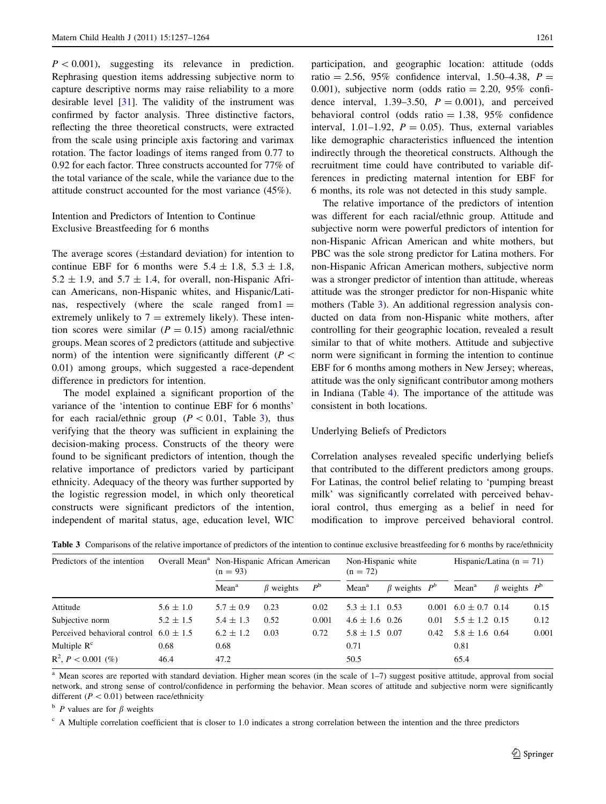$P<0.001$ ), suggesting its relevance in prediction. Rephrasing question items addressing subjective norm to capture descriptive norms may raise reliability to a more desirable level [[31\]](#page-8-0). The validity of the instrument was confirmed by factor analysis. Three distinctive factors, reflecting the three theoretical constructs, were extracted from the scale using principle axis factoring and varimax rotation. The factor loadings of items ranged from 0.77 to 0.92 for each factor. Three constructs accounted for 77% of the total variance of the scale, while the variance due to the attitude construct accounted for the most variance (45%).

Intention and Predictors of Intention to Continue Exclusive Breastfeeding for 6 months

The average scores  $(\pm$ standard deviation) for intention to continue EBF for 6 months were  $5.4 \pm 1.8$ ,  $5.3 \pm 1.8$ ,  $5.2 \pm 1.9$ , and  $5.7 \pm 1.4$ , for overall, non-Hispanic African Americans, non-Hispanic whites, and Hispanic/Latinas, respectively (where the scale ranged from  $l =$ extremely unlikely to  $7 =$  extremely likely). These intention scores were similar  $(P = 0.15)$  among racial/ethnic groups. Mean scores of 2 predictors (attitude and subjective norm) of the intention were significantly different ( $P \leq$ 0.01) among groups, which suggested a race-dependent difference in predictors for intention.

The model explained a significant proportion of the variance of the 'intention to continue EBF for 6 months' for each racial/ethnic group ( $P < 0.01$ , Table 3), thus verifying that the theory was sufficient in explaining the decision-making process. Constructs of the theory were found to be significant predictors of intention, though the relative importance of predictors varied by participant ethnicity. Adequacy of the theory was further supported by the logistic regression model, in which only theoretical constructs were significant predictors of the intention, independent of marital status, age, education level, WIC participation, and geographic location: attitude (odds ratio = 2.56, 95% confidence interval, 1.50–4.38,  $P =$ 0.001), subjective norm (odds ratio  $= 2.20, 95\%$  confidence interval, 1.39–3.50,  $P = 0.001$ ), and perceived behavioral control (odds ratio  $= 1.38$ , 95% confidence interval, 1.01–1.92,  $P = 0.05$ ). Thus, external variables like demographic characteristics influenced the intention indirectly through the theoretical constructs. Although the recruitment time could have contributed to variable differences in predicting maternal intention for EBF for 6 months, its role was not detected in this study sample.

The relative importance of the predictors of intention was different for each racial/ethnic group. Attitude and subjective norm were powerful predictors of intention for non-Hispanic African American and white mothers, but PBC was the sole strong predictor for Latina mothers. For non-Hispanic African American mothers, subjective norm was a stronger predictor of intention than attitude, whereas attitude was the stronger predictor for non-Hispanic white mothers (Table 3). An additional regression analysis conducted on data from non-Hispanic white mothers, after controlling for their geographic location, revealed a result similar to that of white mothers. Attitude and subjective norm were significant in forming the intention to continue EBF for 6 months among mothers in New Jersey; whereas, attitude was the only significant contributor among mothers in Indiana (Table [4\)](#page-6-0). The importance of the attitude was consistent in both locations.

# Underlying Beliefs of Predictors

Correlation analyses revealed specific underlying beliefs that contributed to the different predictors among groups. For Latinas, the control belief relating to 'pumping breast milk' was significantly correlated with perceived behavioral control, thus emerging as a belief in need for modification to improve perceived behavioral control.

|                                            | $(n = 93)$        |                 |             | Non-Hispanic white<br>$(n = 72)$                        |  |                                                                | Hispanic/Latina ( $n = 71$ ) |  |                                                                                                                 |
|--------------------------------------------|-------------------|-----------------|-------------|---------------------------------------------------------|--|----------------------------------------------------------------|------------------------------|--|-----------------------------------------------------------------------------------------------------------------|
|                                            | Mean <sup>a</sup> | $\beta$ weights | $P^{\rm b}$ | Mean <sup>a</sup>                                       |  |                                                                | Mean <sup>a</sup>            |  |                                                                                                                 |
| $5.6 \pm 1.0$                              | $5.7 \pm 0.9$     | 0.23            | 0.02        |                                                         |  |                                                                |                              |  | 0.15                                                                                                            |
| $5.2 \pm 1.5$                              | $5.4 \pm 1.3$     | 0.52            | 0.001       |                                                         |  | 0.01                                                           |                              |  | 0.12                                                                                                            |
| Perceived behavioral control $6.0 \pm 1.5$ | $6.2 \pm 1.2$     | 0.03            | 0.72        |                                                         |  | 0.42                                                           |                              |  | 0.001                                                                                                           |
| 0.68                                       | 0.68              |                 |             | 0.71                                                    |  |                                                                | 0.81                         |  |                                                                                                                 |
| 46.4                                       | 47.2              |                 |             | 50.5                                                    |  |                                                                | 65.4                         |  |                                                                                                                 |
|                                            |                   |                 |             | Overall Mean <sup>a</sup> Non-Hispanic African American |  | $5.3 \pm 1.1$ 0.53<br>$4.6 \pm 1.6$ 0.26<br>$5.8 \pm 1.5$ 0.07 | $\beta$ weights $P^b$        |  | $\beta$ weights $P^{\rm b}$<br>$0.001 \quad 6.0 \pm 0.7 \quad 0.14$<br>$5.5 \pm 1.2$ 0.15<br>$5.8 \pm 1.6$ 0.64 |

Table 3 Comparisons of the relative importance of predictors of the intention to continue exclusive breastfeeding for 6 months by race/ethnicity

<sup>a</sup> Mean scores are reported with standard deviation. Higher mean scores (in the scale of 1–7) suggest positive attitude, approval from social network, and strong sense of control/confidence in performing the behavior. Mean scores of attitude and subjective norm were significantly different ( $P < 0.01$ ) between race/ethnicity

 $\overrightarrow{p}$  P values are for  $\beta$  weights

 $c$  A Multiple correlation coefficient that is closer to 1.0 indicates a strong correlation between the intention and the three predictors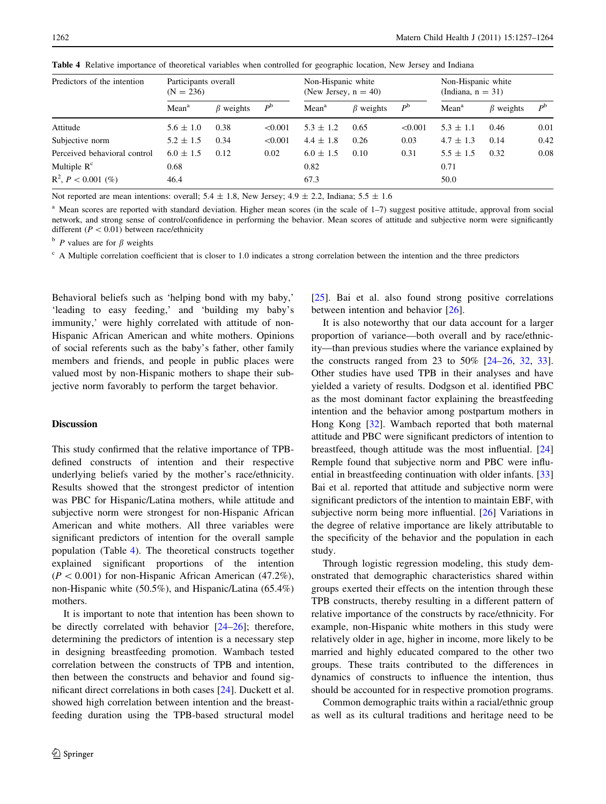| Predictors of the intention  | Participants overall<br>$(N = 236)$ |                 |             | Non-Hispanic white<br>(New Jersey, $n = 40$ ) |                 |             | Non-Hispanic white<br>(Indiana, $n = 31$ ) |                 |             |
|------------------------------|-------------------------------------|-----------------|-------------|-----------------------------------------------|-----------------|-------------|--------------------------------------------|-----------------|-------------|
|                              | Mean <sup>a</sup>                   | $\beta$ weights | $P^{\rm b}$ | Mean <sup>a</sup>                             | $\beta$ weights | $P^{\rm b}$ | Mean <sup>a</sup>                          | $\beta$ weights | $P^{\rm b}$ |
| Attitude                     | $5.6 \pm 1.0$                       | 0.38            | < 0.001     | $5.3 \pm 1.2$                                 | 0.65            | < 0.001     | $5.3 \pm 1.1$                              | 0.46            | 0.01        |
| Subjective norm              | $5.2 \pm 1.5$                       | 0.34            | < 0.001     | $4.4 \pm 1.8$                                 | 0.26            | 0.03        | $4.7 \pm 1.3$                              | 0.14            | 0.42        |
| Perceived behavioral control | $6.0 \pm 1.5$                       | 0.12            | 0.02        | $6.0 \pm 1.5$                                 | 0.10            | 0.31        | $5.5 \pm 1.5$                              | 0.32            | 0.08        |
| Multiple $Rc$                | 0.68                                |                 |             | 0.82                                          |                 |             | 0.71                                       |                 |             |
| $R^2$ , $P < 0.001$ (%)      | 46.4                                |                 |             | 67.3                                          |                 |             | 50.0                                       |                 |             |

<span id="page-6-0"></span>Table 4 Relative importance of theoretical variables when controlled for geographic location, New Jersey and Indiana

Not reported are mean intentions: overall;  $5.4 \pm 1.8$ , New Jersey;  $4.9 \pm 2.2$ , Indiana;  $5.5 \pm 1.6$ 

<sup>a</sup> Mean scores are reported with standard deviation. Higher mean scores (in the scale of 1–7) suggest positive attitude, approval from social network, and strong sense of control/confidence in performing the behavior. Mean scores of attitude and subjective norm were significantly different ( $P < 0.01$ ) between race/ethnicity

 $\Delta$  P values are for  $\beta$  weights

 $c$  A Multiple correlation coefficient that is closer to 1.0 indicates a strong correlation between the intention and the three predictors

Behavioral beliefs such as 'helping bond with my baby,' 'leading to easy feeding,' and 'building my baby's immunity,' were highly correlated with attitude of non-Hispanic African American and white mothers. Opinions of social referents such as the baby's father, other family members and friends, and people in public places were valued most by non-Hispanic mothers to shape their subjective norm favorably to perform the target behavior.

# **Discussion**

This study confirmed that the relative importance of TPBdefined constructs of intention and their respective underlying beliefs varied by the mother's race/ethnicity. Results showed that the strongest predictor of intention was PBC for Hispanic/Latina mothers, while attitude and subjective norm were strongest for non-Hispanic African American and white mothers. All three variables were significant predictors of intention for the overall sample population (Table 4). The theoretical constructs together explained significant proportions of the intention  $(P < 0.001)$  for non-Hispanic African American (47.2%), non-Hispanic white (50.5%), and Hispanic/Latina (65.4%) mothers.

It is important to note that intention has been shown to be directly correlated with behavior [\[24–26](#page-8-0)]; therefore, determining the predictors of intention is a necessary step in designing breastfeeding promotion. Wambach tested correlation between the constructs of TPB and intention, then between the constructs and behavior and found significant direct correlations in both cases [[24\]](#page-8-0). Duckett et al. showed high correlation between intention and the breastfeeding duration using the TPB-based structural model [\[25](#page-8-0)]. Bai et al. also found strong positive correlations between intention and behavior [\[26](#page-8-0)].

It is also noteworthy that our data account for a larger proportion of variance—both overall and by race/ethnicity—than previous studies where the variance explained by the constructs ranged from 23 to  $50\%$  [[24–26,](#page-8-0) [32](#page-8-0), [33](#page-8-0)]. Other studies have used TPB in their analyses and have yielded a variety of results. Dodgson et al. identified PBC as the most dominant factor explaining the breastfeeding intention and the behavior among postpartum mothers in Hong Kong [\[32](#page-8-0)]. Wambach reported that both maternal attitude and PBC were significant predictors of intention to breastfeed, though attitude was the most influential. [[24\]](#page-8-0) Remple found that subjective norm and PBC were influential in breastfeeding continuation with older infants. [[33\]](#page-8-0) Bai et al. reported that attitude and subjective norm were significant predictors of the intention to maintain EBF, with subjective norm being more influential. [[26](#page-8-0)] Variations in the degree of relative importance are likely attributable to the specificity of the behavior and the population in each study.

Through logistic regression modeling, this study demonstrated that demographic characteristics shared within groups exerted their effects on the intention through these TPB constructs, thereby resulting in a different pattern of relative importance of the constructs by race/ethnicity. For example, non-Hispanic white mothers in this study were relatively older in age, higher in income, more likely to be married and highly educated compared to the other two groups. These traits contributed to the differences in dynamics of constructs to influence the intention, thus should be accounted for in respective promotion programs.

Common demographic traits within a racial/ethnic group as well as its cultural traditions and heritage need to be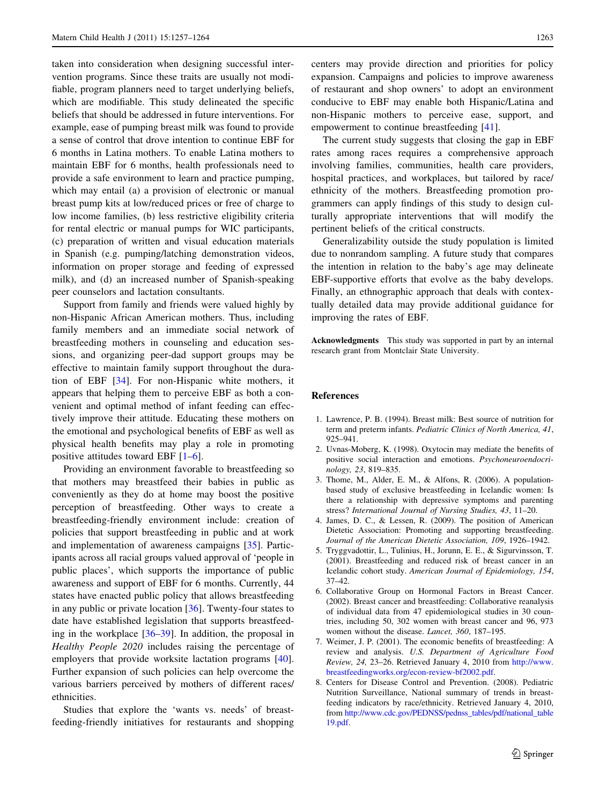<span id="page-7-0"></span>taken into consideration when designing successful intervention programs. Since these traits are usually not modifiable, program planners need to target underlying beliefs, which are modifiable. This study delineated the specific beliefs that should be addressed in future interventions. For example, ease of pumping breast milk was found to provide a sense of control that drove intention to continue EBF for 6 months in Latina mothers. To enable Latina mothers to maintain EBF for 6 months, health professionals need to provide a safe environment to learn and practice pumping, which may entail (a) a provision of electronic or manual breast pump kits at low/reduced prices or free of charge to low income families, (b) less restrictive eligibility criteria for rental electric or manual pumps for WIC participants, (c) preparation of written and visual education materials in Spanish (e.g. pumping/latching demonstration videos, information on proper storage and feeding of expressed milk), and (d) an increased number of Spanish-speaking peer counselors and lactation consultants.

Support from family and friends were valued highly by non-Hispanic African American mothers. Thus, including family members and an immediate social network of breastfeeding mothers in counseling and education sessions, and organizing peer-dad support groups may be effective to maintain family support throughout the duration of EBF [[34\]](#page-8-0). For non-Hispanic white mothers, it appears that helping them to perceive EBF as both a convenient and optimal method of infant feeding can effectively improve their attitude. Educating these mothers on the emotional and psychological benefits of EBF as well as physical health benefits may play a role in promoting positive attitudes toward EBF [1–6].

Providing an environment favorable to breastfeeding so that mothers may breastfeed their babies in public as conveniently as they do at home may boost the positive perception of breastfeeding. Other ways to create a breastfeeding-friendly environment include: creation of policies that support breastfeeding in public and at work and implementation of awareness campaigns [[35\]](#page-8-0). Participants across all racial groups valued approval of 'people in public places', which supports the importance of public awareness and support of EBF for 6 months. Currently, 44 states have enacted public policy that allows breastfeeding in any public or private location [\[36](#page-8-0)]. Twenty-four states to date have established legislation that supports breastfeeding in the workplace [[36–39\]](#page-8-0). In addition, the proposal in Healthy People 2020 includes raising the percentage of employers that provide worksite lactation programs [\[40](#page-8-0)]. Further expansion of such policies can help overcome the various barriers perceived by mothers of different races/ ethnicities.

Studies that explore the 'wants vs. needs' of breastfeeding-friendly initiatives for restaurants and shopping centers may provide direction and priorities for policy expansion. Campaigns and policies to improve awareness of restaurant and shop owners' to adopt an environment conducive to EBF may enable both Hispanic/Latina and non-Hispanic mothers to perceive ease, support, and empowerment to continue breastfeeding [\[41](#page-8-0)].

The current study suggests that closing the gap in EBF rates among races requires a comprehensive approach involving families, communities, health care providers, hospital practices, and workplaces, but tailored by race/ ethnicity of the mothers. Breastfeeding promotion programmers can apply findings of this study to design culturally appropriate interventions that will modify the pertinent beliefs of the critical constructs.

Generalizability outside the study population is limited due to nonrandom sampling. A future study that compares the intention in relation to the baby's age may delineate EBF-supportive efforts that evolve as the baby develops. Finally, an ethnographic approach that deals with contextually detailed data may provide additional guidance for improving the rates of EBF.

Acknowledgments This study was supported in part by an internal research grant from Montclair State University.

#### References

- 1. Lawrence, P. B. (1994). Breast milk: Best source of nutrition for term and preterm infants. Pediatric Clinics of North America, 41, 925–941.
- 2. Uvnas-Moberg, K. (1998). Oxytocin may mediate the benefits of positive social interaction and emotions. Psychoneuroendocrinology, 23, 819–835.
- 3. Thome, M., Alder, E. M., & Alfons, R. (2006). A populationbased study of exclusive breastfeeding in Icelandic women: Is there a relationship with depressive symptoms and parenting stress? International Journal of Nursing Studies, 43, 11–20.
- 4. James, D. C., & Lessen, R. (2009). The position of American Dietetic Association: Promoting and supporting breastfeeding. Journal of the American Dietetic Association, 109, 1926–1942.
- 5. Tryggvadottir, L., Tulinius, H., Jorunn, E. E., & Sigurvinsson, T. (2001). Breastfeeding and reduced risk of breast cancer in an Icelandic cohort study. American Journal of Epidemiology, 154, 37–42.
- 6. Collaborative Group on Hormonal Factors in Breast Cancer. (2002). Breast cancer and breastfeeding: Collaborative reanalysis of individual data from 47 epidemiological studies in 30 countries, including 50, 302 women with breast cancer and 96, 973 women without the disease. Lancet, 360, 187–195.
- 7. Weimer, J. P. (2001). The economic benefits of breastfeeding: A review and analysis. U.S. Department of Agriculture Food Review, 24, 23–26. Retrieved January 4, 2010 from [http://www.](http://www.breastfeedingworks.org/econ-review-bf2002.pdf) [breastfeedingworks.org/econ-review-bf2002.pdf](http://www.breastfeedingworks.org/econ-review-bf2002.pdf).
- 8. Centers for Disease Control and Prevention. (2008). Pediatric Nutrition Surveillance, National summary of trends in breastfeeding indicators by race/ethnicity. Retrieved January 4, 2010, from [http://www.cdc.gov/PEDNSS/pednss\\_tables/pdf/national\\_table](http://www.cdc.gov/PEDNSS/pednss_tables/pdf/national_table19.pdf) [19.pdf.](http://www.cdc.gov/PEDNSS/pednss_tables/pdf/national_table19.pdf)